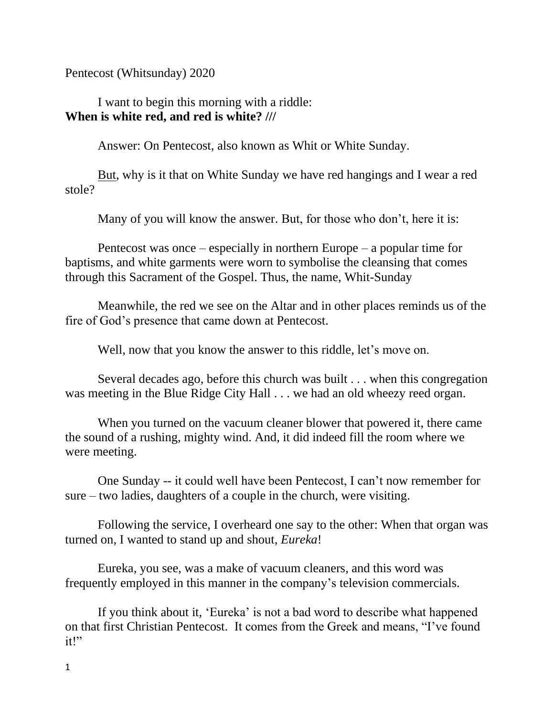Pentecost (Whitsunday) 2020

I want to begin this morning with a riddle: **When is white red, and red is white? ///**

Answer: On Pentecost, also known as Whit or White Sunday.

But, why is it that on White Sunday we have red hangings and I wear a red stole?

Many of you will know the answer. But, for those who don't, here it is:

Pentecost was once – especially in northern Europe – a popular time for baptisms, and white garments were worn to symbolise the cleansing that comes through this Sacrament of the Gospel. Thus, the name, Whit-Sunday

Meanwhile, the red we see on the Altar and in other places reminds us of the fire of God's presence that came down at Pentecost.

Well, now that you know the answer to this riddle, let's move on.

Several decades ago, before this church was built . . . when this congregation was meeting in the Blue Ridge City Hall . . . we had an old wheezy reed organ.

When you turned on the vacuum cleaner blower that powered it, there came the sound of a rushing, mighty wind. And, it did indeed fill the room where we were meeting.

One Sunday -- it could well have been Pentecost, I can't now remember for sure – two ladies, daughters of a couple in the church, were visiting.

Following the service, I overheard one say to the other: When that organ was turned on, I wanted to stand up and shout, *Eureka*!

Eureka, you see, was a make of vacuum cleaners, and this word was frequently employed in this manner in the company's television commercials.

If you think about it, 'Eureka' is not a bad word to describe what happened on that first Christian Pentecost. It comes from the Greek and means, "I've found it!"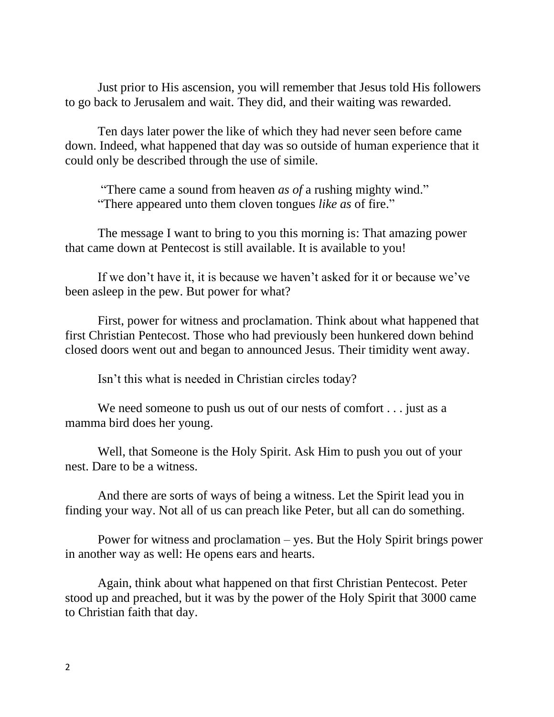Just prior to His ascension, you will remember that Jesus told His followers to go back to Jerusalem and wait. They did, and their waiting was rewarded.

Ten days later power the like of which they had never seen before came down. Indeed, what happened that day was so outside of human experience that it could only be described through the use of simile.

"There came a sound from heaven *as of* a rushing mighty wind." "There appeared unto them cloven tongues *like as* of fire."

The message I want to bring to you this morning is: That amazing power that came down at Pentecost is still available. It is available to you!

If we don't have it, it is because we haven't asked for it or because we've been asleep in the pew. But power for what?

First, power for witness and proclamation. Think about what happened that first Christian Pentecost. Those who had previously been hunkered down behind closed doors went out and began to announced Jesus. Their timidity went away.

Isn't this what is needed in Christian circles today?

We need someone to push us out of our nests of comfort . . . just as a mamma bird does her young.

Well, that Someone is the Holy Spirit. Ask Him to push you out of your nest. Dare to be a witness.

And there are sorts of ways of being a witness. Let the Spirit lead you in finding your way. Not all of us can preach like Peter, but all can do something.

Power for witness and proclamation – yes. But the Holy Spirit brings power in another way as well: He opens ears and hearts.

Again, think about what happened on that first Christian Pentecost. Peter stood up and preached, but it was by the power of the Holy Spirit that 3000 came to Christian faith that day.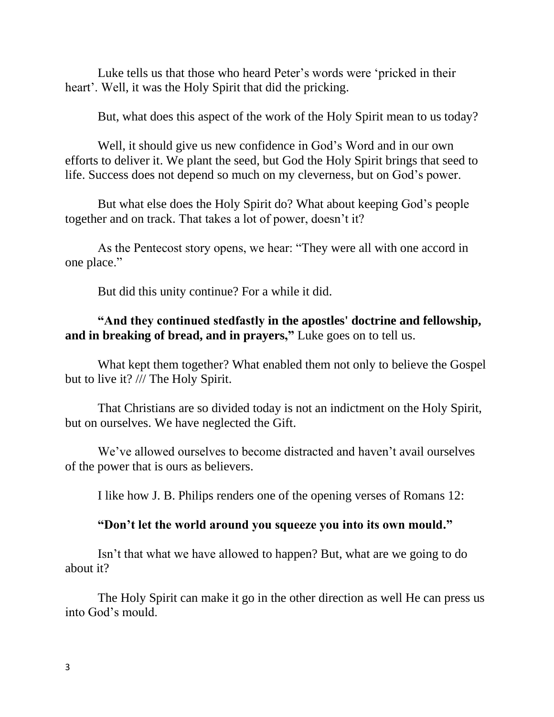Luke tells us that those who heard Peter's words were 'pricked in their heart'. Well, it was the Holy Spirit that did the pricking.

But, what does this aspect of the work of the Holy Spirit mean to us today?

Well, it should give us new confidence in God's Word and in our own efforts to deliver it. We plant the seed, but God the Holy Spirit brings that seed to life. Success does not depend so much on my cleverness, but on God's power.

But what else does the Holy Spirit do? What about keeping God's people together and on track. That takes a lot of power, doesn't it?

As the Pentecost story opens, we hear: "They were all with one accord in one place."

But did this unity continue? For a while it did.

## **"And they continued stedfastly in the apostles' doctrine and fellowship, and in breaking of bread, and in prayers,"** Luke goes on to tell us.

What kept them together? What enabled them not only to believe the Gospel but to live it? /// The Holy Spirit.

That Christians are so divided today is not an indictment on the Holy Spirit, but on ourselves. We have neglected the Gift.

We've allowed ourselves to become distracted and haven't avail ourselves of the power that is ours as believers.

I like how J. B. Philips renders one of the opening verses of Romans 12:

## **"Don't let the world around you squeeze you into its own mould."**

Isn't that what we have allowed to happen? But, what are we going to do about it?

The Holy Spirit can make it go in the other direction as well He can press us into God's mould.